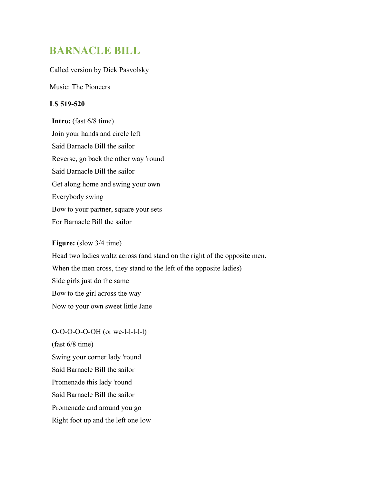# **BARNACLE BILL**

### Called version by Dick Pasvolsky

Music: The Pioneers

### **LS 519-520**

**Intro:** (fast 6/8 time) Join your hands and circle left Said Barnacle Bill the sailor Reverse, go back the other way 'round Said Barnacle Bill the sailor Get along home and swing your own Everybody swing Bow to your partner, square your sets For Barnacle Bill the sailor

#### **Figure:** (slow 3/4 time)

Head two ladies waltz across (and stand on the right of the opposite men. When the men cross, they stand to the left of the opposite ladies) Side girls just do the same Bow to the girl across the way Now to your own sweet little Jane

O-O-O-O-O-OH (or we-l-l-l-l-l) (fast 6/8 time) Swing your corner lady 'round Said Barnacle Bill the sailor Promenade this lady 'round Said Barnacle Bill the sailor Promenade and around you go Right foot up and the left one low